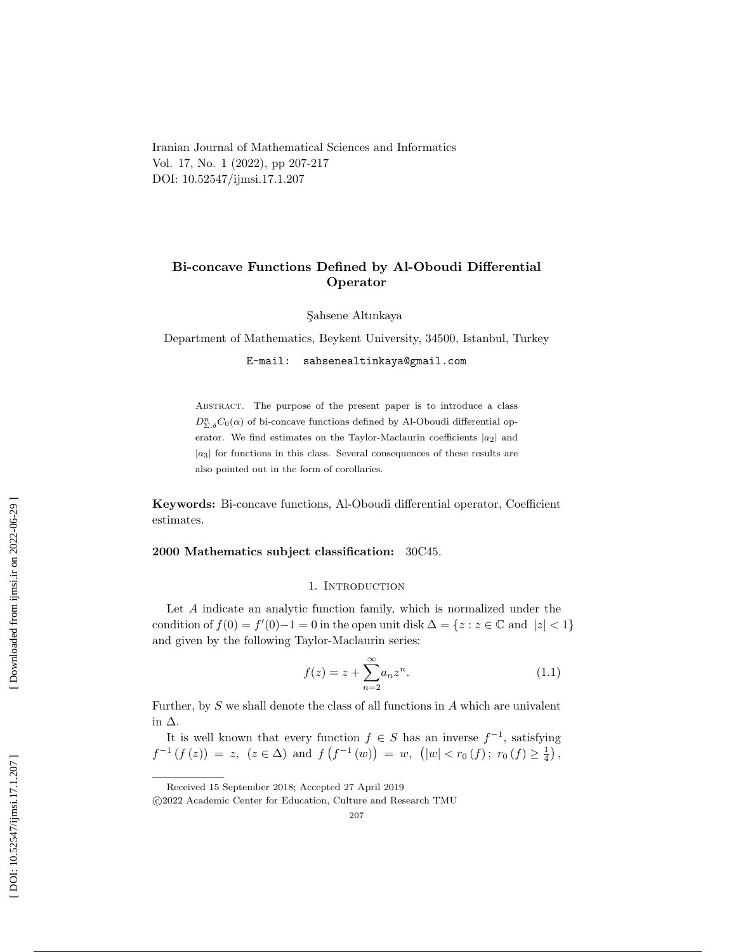Iranian Journal of Mathematical Sciences and Informatics Vol. 17, No. 1 (2022), pp 207-217 DOI: 10.52547/ijmsi.17.1.207

# Bi-concave Functions Defined by Al-Oboudi Differential Operator

S¸ahsene Altınkaya

Department of Mathematics, Beykent University, 34500, Istanbul, Turkey

E-mail: sahsenealtinkaya@gmail.com

ABSTRACT. The purpose of the present paper is to introduce a class  $D_{\Sigma,\delta}^n C_0(\alpha)$  of bi-concave functions defined by Al-Oboudi differential operator. We find estimates on the Taylor-Maclaurin coefficients  $|a_2|$  and  $|a_3|$  for functions in this class. Several consequences of these results are also pointed out in the form of corollaries.

Keywords: Bi-concave functions, Al-Oboudi differential operator, Coefficient estimates.

#### 2000 Mathematics subject classification: 30C45.

### 1. INTRODUCTION

Let A indicate an analytic function family, which is normalized under the condition of  $f(0) = f'(0) - 1 = 0$  in the open unit disk  $\Delta = \{z : z \in \mathbb{C} \text{ and } |z| < 1\}$ and given by the following Taylor-Maclaurin series:

$$
f(z) = z + \sum_{n=2}^{\infty} a_n z^n.
$$
 (1.1)

Further, by S we shall denote the class of all functions in A which are univalent in ∆.

It is well known that every function  $f \in S$  has an inverse  $f^{-1}$ , satisfying  $f^{-1}(f(z)) = z, (z \in \Delta)$  and  $f(f^{-1}(w)) = w, (|w| < r_0(f); r_0(f) \ge \frac{1}{4})$ ,

Received 15 September 2018; Accepted 27 April 2019

c 2022 Academic Center for Education, Culture and Research TMU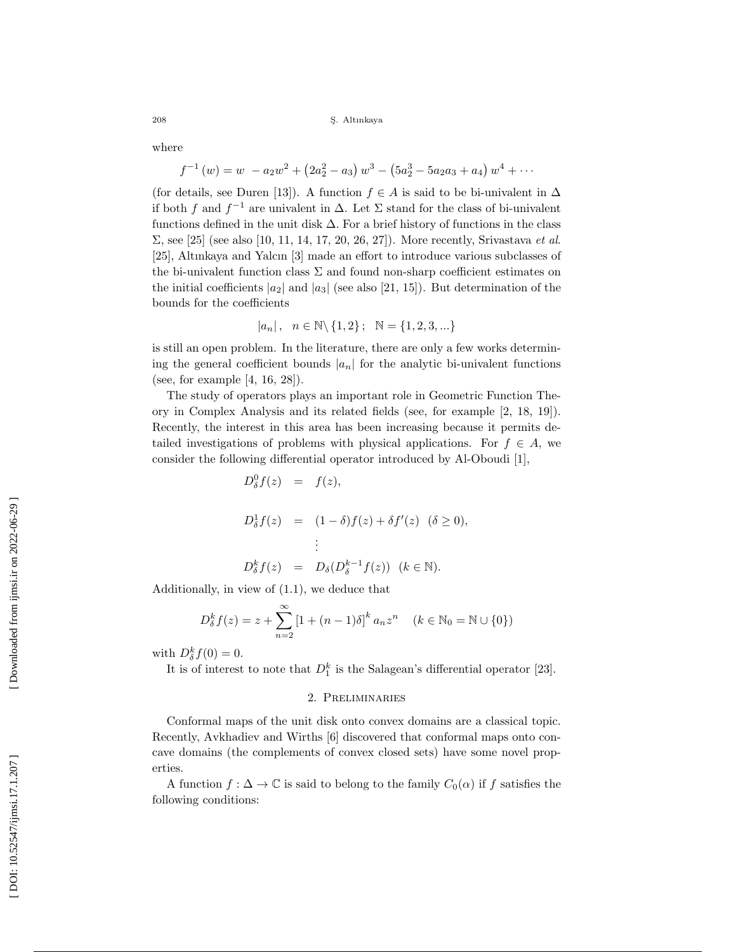where

$$
f^{-1}(w) = w - a_2w^2 + (2a_2^2 - a_3) w^3 - (5a_2^3 - 5a_2a_3 + a_4) w^4 + \cdots
$$

(for details, see Duren [13]). A function  $f \in A$  is said to be bi-univalent in  $\Delta$ if both f and  $f^{-1}$  are univalent in  $\Delta$ . Let  $\Sigma$  stand for the class of bi-univalent functions defined in the unit disk  $\Delta$ . For a brief history of functions in the class  $\Sigma$ , see [25] (see also [10, 11, 14, 17, 20, 26, 27]). More recently, Srivastava *et al.* [25], Altınkaya and Yalcın [3] made an effort to introduce various subclasses of the bi-univalent function class  $\Sigma$  and found non-sharp coefficient estimates on the initial coefficients  $|a_2|$  and  $|a_3|$  (see also [21, 15]). But determination of the bounds for the coefficients

$$
|a_n| \,,\ \ n \in \mathbb{N} \backslash \{1,2\} \,;\ \ \mathbb{N} = \{1,2,3,...\}
$$

is still an open problem. In the literature, there are only a few works determining the general coefficient bounds  $|a_n|$  for the analytic bi-univalent functions (see, for example [4, 16, 28]).

The study of operators plays an important role in Geometric Function Theory in Complex Analysis and its related fields (see, for example [2, 18, 19]). Recently, the interest in this area has been increasing because it permits detailed investigations of problems with physical applications. For  $f \in A$ , we consider the following differential operator introduced by Al-Oboudi [1],

$$
D_{\delta}^{0}f(z) = f(z),
$$
  
\n
$$
D_{\delta}^{1}f(z) = (1 - \delta)f(z) + \delta f'(z) \quad (\delta \ge 0),
$$
  
\n
$$
\vdots
$$
  
\n
$$
D_{\delta}^{k}f(z) = D_{\delta}(D_{\delta}^{k-1}f(z)) \quad (k \in \mathbb{N}).
$$

Additionally, in view of (1.1), we deduce that

$$
D_{\delta}^{k} f(z) = z + \sum_{n=2}^{\infty} \left[ 1 + (n-1)\delta \right]^{k} a_{n} z^{n} \quad (k \in \mathbb{N}_{0} = \mathbb{N} \cup \{0\})
$$

with  $D_{\delta}^{k} f(0) = 0$ .

It is of interest to note that  $D_1^k$  is the Salagean's differential operator [23].

#### 2. Preliminaries

Conformal maps of the unit disk onto convex domains are a classical topic. Recently, Avkhadiev and Wirths [6] discovered that conformal maps onto concave domains (the complements of convex closed sets) have some novel properties.

A function  $f: \Delta \to \mathbb{C}$  is said to belong to the family  $C_0(\alpha)$  if f satisfies the following conditions: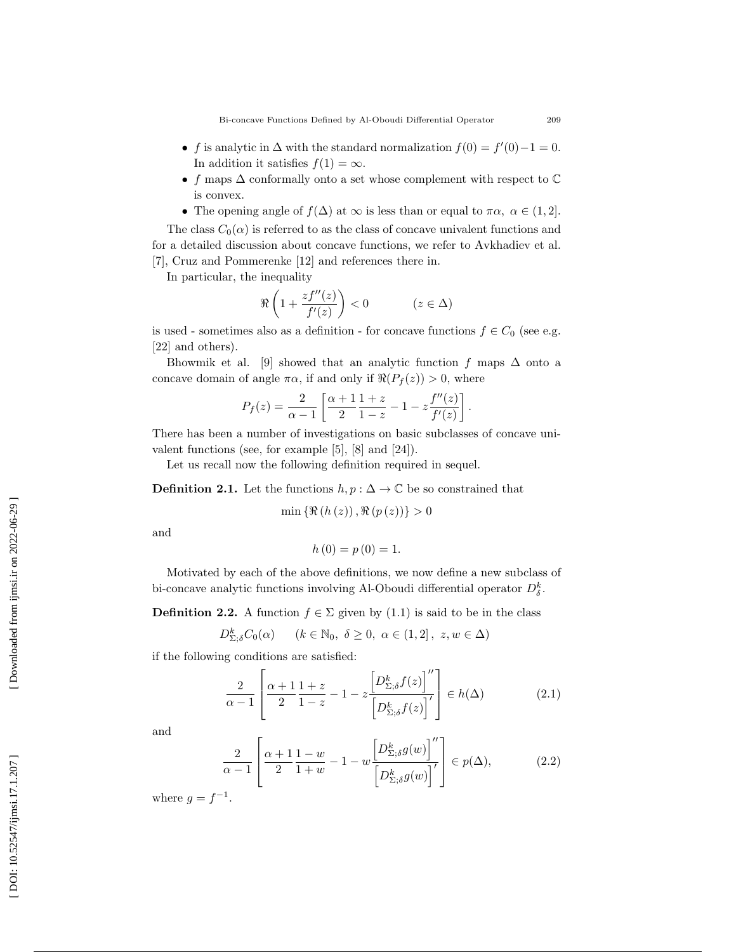- f is analytic in  $\Delta$  with the standard normalization  $f(0) = f'(0) 1 = 0$ . In addition it satisfies  $f(1) = \infty$ .
- f maps  $\Delta$  conformally onto a set whose complement with respect to  $\mathbb C$ is convex.
- The opening angle of  $f(\Delta)$  at  $\infty$  is less than or equal to  $\pi \alpha$ ,  $\alpha \in (1,2]$ .

The class  $C_0(\alpha)$  is referred to as the class of concave univalent functions and for a detailed discussion about concave functions, we refer to Avkhadiev et al. [7], Cruz and Pommerenke [12] and references there in.

In particular, the inequality

$$
\Re\left(1+\frac{zf^{\prime\prime}(z)}{f^\prime(z)}\right)<0\qquad\qquad(z\in\Delta)
$$

is used - sometimes also as a definition - for concave functions  $f \in C_0$  (see e.g. [22] and others).

Bhowmik et al. [9] showed that an analytic function f maps  $\Delta$  onto a concave domain of angle  $\pi \alpha$ , if and only if  $\Re(P_f(z)) > 0$ , where

$$
P_f(z) = \frac{2}{\alpha - 1} \left[ \frac{\alpha + 1}{2} \frac{1 + z}{1 - z} - 1 - z \frac{f''(z)}{f'(z)} \right].
$$

There has been a number of investigations on basic subclasses of concave univalent functions (see, for example [5], [8] and [24]).

Let us recall now the following definition required in sequel.

**Definition 2.1.** Let the functions  $h, p : \Delta \to \mathbb{C}$  be so constrained that

 $\min \{ \Re(h(z)) , \Re(p(z)) \} > 0$ 

and

$$
h(0) = p(0) = 1.
$$

Motivated by each of the above definitions, we now define a new subclass of bi-concave analytic functions involving Al-Oboudi differential operator  $D_{\delta}^{k}$ .

**Definition 2.2.** A function  $f \in \Sigma$  given by (1.1) is said to be in the class

$$
D^k_{\Sigma; \delta} C_0(\alpha) \qquad (k \in \mathbb{N}_0, \ \delta \ge 0, \ \alpha \in (1, 2], \ z, w \in \Delta)
$$

if the following conditions are satisfied:

$$
\frac{2}{\alpha - 1} \left[ \frac{\alpha + 1}{2} \frac{1 + z}{1 - z} - 1 - z \frac{\left[ D_{\Sigma, \delta}^k f(z) \right]''}{\left[ D_{\Sigma, \delta}^k f(z) \right]'} \right] \in h(\Delta) \tag{2.1}
$$

and

$$
\frac{2}{\alpha - 1} \left[ \frac{\alpha + 1}{2} \frac{1 - w}{1 + w} - 1 - w \frac{\left[ D_{\Sigma; \delta}^k g(w) \right]''}{\left[ D_{\Sigma; \delta}^k g(w) \right]'} \right] \in p(\Delta), \tag{2.2}
$$

where  $g = f^{-1}$ .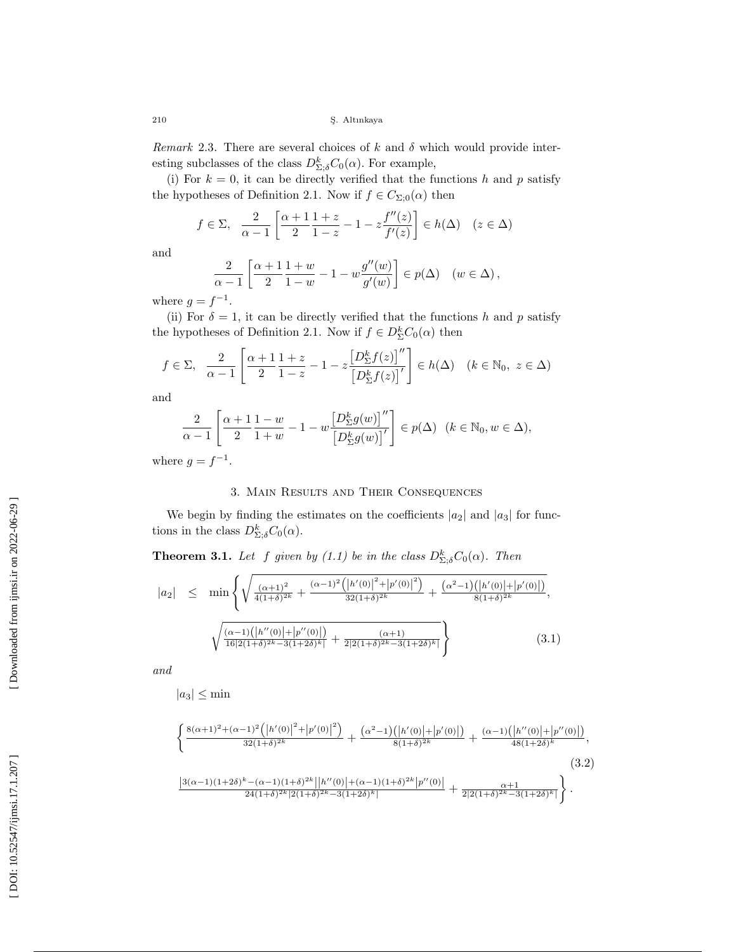Remark 2.3. There are several choices of  $k$  and  $\delta$  which would provide interesting subclasses of the class  $D_{\Sigma;\delta}^k C_0(\alpha)$ . For example,

(i) For  $k = 0$ , it can be directly verified that the functions h and p satisfy the hypotheses of Definition 2.1. Now if  $f \in C_{\Sigma,0}(\alpha)$  then

$$
f \in \Sigma, \quad \frac{2}{\alpha - 1} \left[ \frac{\alpha + 1}{2} \frac{1 + z}{1 - z} - 1 - z \frac{f''(z)}{f'(z)} \right] \in h(\Delta) \quad (z \in \Delta)
$$

and

$$
\frac{2}{\alpha - 1} \left[ \frac{\alpha + 1}{2} \frac{1 + w}{1 - w} - 1 - w \frac{g''(w)}{g'(w)} \right] \in p(\Delta) \quad (w \in \Delta),
$$

where  $g = f^{-1}$ .

(ii) For  $\delta = 1$ , it can be directly verified that the functions h and p satisfy the hypotheses of Definition 2.1. Now if  $f \in D_{\Sigma}^{k}C_{0}(\alpha)$  then

$$
f \in \Sigma, \quad \frac{2}{\alpha - 1} \left[ \frac{\alpha + 1}{2} \frac{1 + z}{1 - z} - 1 - z \frac{\left[ D_{\Sigma}^{k} f(z) \right]''}{\left[ D_{\Sigma}^{k} f(z) \right]'} \right] \in h(\Delta) \quad (k \in \mathbb{N}_{0}, \ z \in \Delta)
$$

and

$$
\frac{2}{\alpha-1}\left[\frac{\alpha+1}{2}\frac{1-w}{1+w}-1-w\frac{\left[D_{\Sigma}^{k}g(w)\right]''}{\left[D_{\Sigma}^{k}g(w)\right]'}\right]\in p(\Delta)\ \ (k\in\mathbb{N}_{0},w\in\Delta),
$$

where  $g = f^{-1}$ .

#### 3. Main Results and Their Consequences

We begin by finding the estimates on the coefficients  $|a_2|$  and  $|a_3|$  for functions in the class  $D_{\Sigma;\delta}^k C_0(\alpha)$ .

**Theorem 3.1.** Let f given by (1.1) be in the class  $D_{\Sigma,\delta}^k C_0(\alpha)$ . Then

$$
|a_2| \leq \min \left\{ \sqrt{\frac{(\alpha+1)^2}{4(1+\delta)^{2k}} + \frac{(\alpha-1)^2 \left( |h'(0)|^2 + |p'(0)|^2 \right)}{32(1+\delta)^{2k}} + \frac{(\alpha^2-1) \left( |h'(0)| + |p'(0)| \right)}{8(1+\delta)^{2k}}}, \sqrt{\frac{(\alpha-1) \left( |h''(0)| + |p''(0)| \right)}{16|2(1+\delta)^{2k} - 3(1+2\delta)^k}} + \frac{(\alpha+1)}{2|2(1+\delta)^{2k} - 3(1+2\delta)^k|}} \right\}
$$
(3.1)

and

$$
|a_3| \le \min
$$

$$
\left\{\frac{8(\alpha+1)^2+(\alpha-1)^2\left(\left|h'(0)\right|^2+\left|p'(0)\right|^2\right)}{32(1+\delta)^{2k}}+\frac{(\alpha^2-1)\left(\left|h'(0)\right|+\left|p'(0)\right|\right)}{8(1+\delta)^{2k}}+\frac{(\alpha-1)\left(\left|h''(0)\right|+\left|p''(0)\right|\right)}{48(1+2\delta)^k},\right.\\\left.\left.\frac{\left|3(\alpha-1)(1+2\delta)^k-(\alpha-1)(1+\delta)^{2k}\right|\left|h''(0)\right|+(\alpha-1)(1+\delta)^{2k}\left|p''(0)\right|}{24(1+\delta)^{2k}+2(1+\delta)^{2k}-3(1+2\delta)^k}\right|\right\}.
$$
\n(3.2)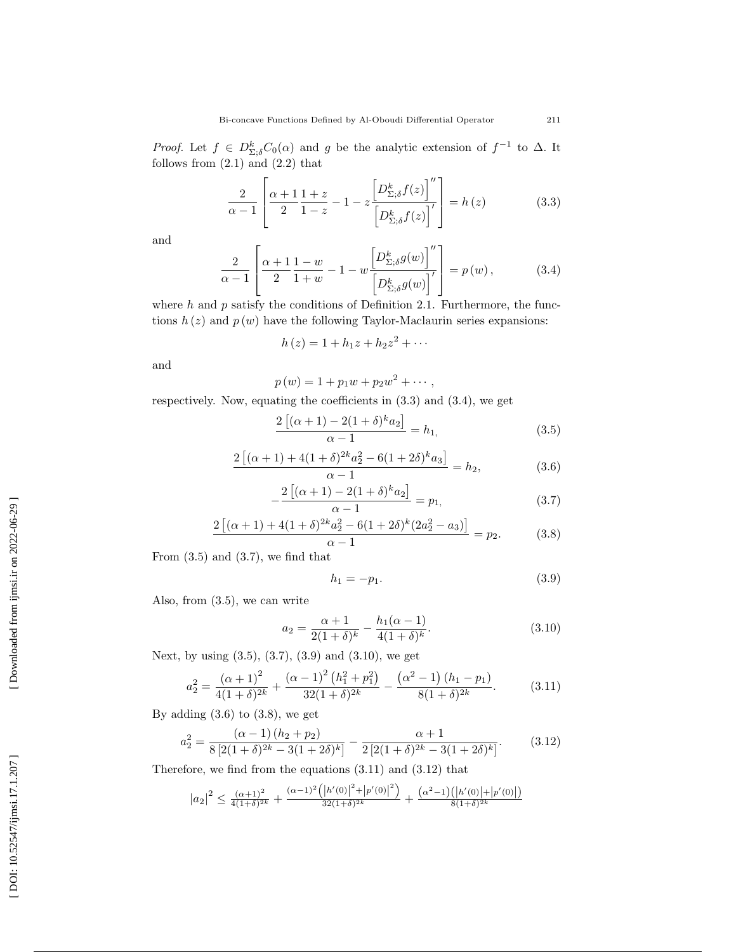*Proof.* Let  $f \in D^k_{\Sigma,\delta}C_0(\alpha)$  and g be the analytic extension of  $f^{-1}$  to  $\Delta$ . It follows from  $(2.1)$  and  $(2.2)$  that

$$
\frac{2}{\alpha - 1} \left[ \frac{\alpha + 1}{2} \frac{1 + z}{1 - z} - 1 - z \frac{\left[ D_{\Sigma; \delta}^k f(z) \right]''}{\left[ D_{\Sigma; \delta}^k f(z) \right]'} \right] = h(z) \tag{3.3}
$$

and

$$
\frac{2}{\alpha - 1} \left[ \frac{\alpha + 1}{2} \frac{1 - w}{1 + w} - 1 - w \frac{\left[ D_{\Sigma; \delta}^k g(w) \right]''}{\left[ D_{\Sigma; \delta}^k g(w) \right]'} \right] = p(w), \tag{3.4}
$$

where  $h$  and  $p$  satisfy the conditions of Definition 2.1. Furthermore, the functions  $h(z)$  and  $p(w)$  have the following Taylor-Maclaurin series expansions:

$$
h(z) = 1 + h_1 z + h_2 z^2 + \cdots
$$

and

$$
p(w) = 1 + p_1 w + p_2 w^2 + \cdots,
$$

respectively. Now, equating the coefficients in (3.3) and (3.4), we get

$$
\frac{2\left[ (\alpha+1)-2(1+\delta)^{k}a_2 \right]}{\alpha-1} = h_1,
$$
\n(3.5)

$$
\frac{2\left[ (\alpha+1)+4(1+\delta)^{2k}a_2^2 - 6(1+2\delta)^k a_3 \right]}{\alpha-1} = h_2,
$$
\n(3.6)

$$
-\frac{2\left[ (\alpha+1)-2(1+\delta)^{k}a_2 \right]}{\alpha-1} = p_1, \tag{3.7}
$$

$$
\frac{2\left[ (\alpha+1)+4(1+\delta)^{2k}a_2^2 - 6(1+2\delta)^k(2a_2^2 - a_3) \right]}{\alpha-1} = p_2.
$$
 (3.8)

From  $(3.5)$  and  $(3.7)$ , we find that

$$
h_1 = -p_1. \t\t(3.9)
$$

Also, from (3.5), we can write

$$
a_2 = \frac{\alpha + 1}{2(1 + \delta)^k} - \frac{h_1(\alpha - 1)}{4(1 + \delta)^k}.
$$
\n(3.10)

Next, by using (3.5), (3.7), (3.9) and (3.10), we get

$$
a_2^2 = \frac{(\alpha+1)^2}{4(1+\delta)^{2k}} + \frac{(\alpha-1)^2 (h_1^2 + p_1^2)}{32(1+\delta)^{2k}} - \frac{(\alpha^2-1) (h_1 - p_1)}{8(1+\delta)^{2k}}.
$$
 (3.11)

By adding  $(3.6)$  to  $(3.8)$ , we get

$$
a_2^2 = \frac{(\alpha - 1)(h_2 + p_2)}{8[2(1 + \delta)^{2k} - 3(1 + 2\delta)^k]} - \frac{\alpha + 1}{2[2(1 + \delta)^{2k} - 3(1 + 2\delta)^k]}.
$$
(3.12)

Therefore, we find from the equations (3.11) and (3.12) that

$$
|a_2|^2 \le \frac{(\alpha+1)^2}{4(1+\delta)^{2k}} + \frac{(\alpha-1)^2(|h'(0)|^2+|p'(0)|^2)}{32(1+\delta)^{2k}} + \frac{(\alpha^2-1)(|h'(0)|+|p'(0)|)}{8(1+\delta)^{2k}}
$$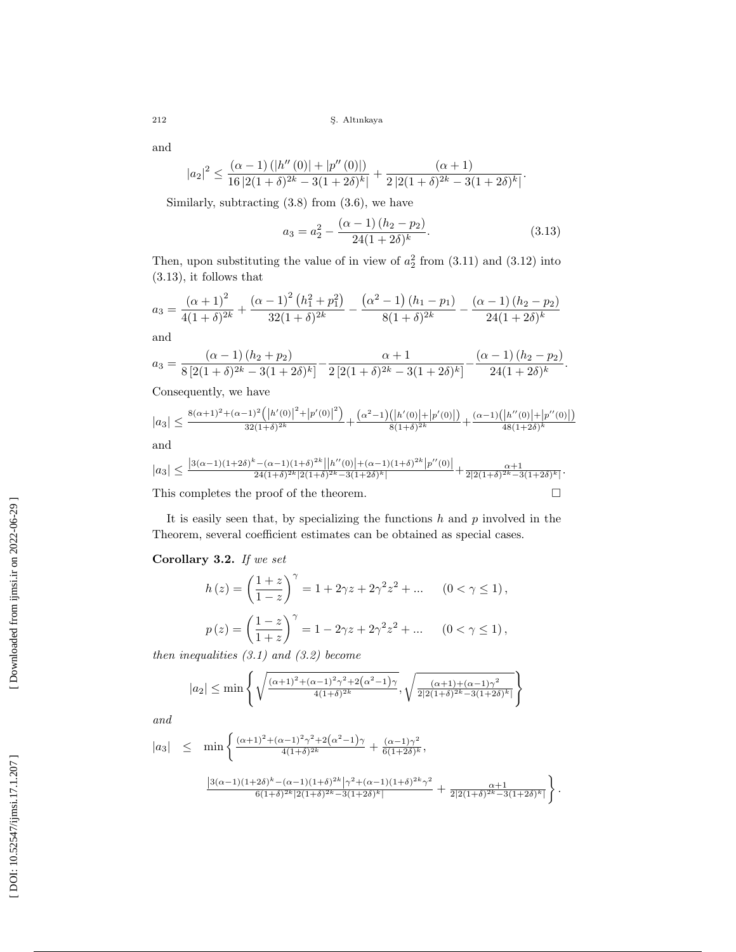and

$$
|a_2|^2 \le \frac{(\alpha-1)\left(|h''(0)|+|p''(0)|\right)}{16|2(1+\delta)^{2k}-3(1+2\delta)^k|}+\frac{(\alpha+1)}{2|2(1+\delta)^{2k}-3(1+2\delta)^k|}.
$$

Similarly, subtracting (3.8) from (3.6), we have

$$
a_3 = a_2^2 - \frac{(\alpha - 1)(h_2 - p_2)}{24(1 + 2\delta)^k}.
$$
\n(3.13)

Then, upon substituting the value of in view of  $a_2^2$  from  $(3.11)$  and  $(3.12)$  into (3.13), it follows that

$$
a_3 = \frac{(\alpha+1)^2}{4(1+\delta)^{2k}} + \frac{(\alpha-1)^2 (h_1^2 + p_1^2)}{32(1+\delta)^{2k}} - \frac{(\alpha^2-1) (h_1 - p_1)}{8(1+\delta)^{2k}} - \frac{(\alpha-1) (h_2 - p_2)}{24(1+2\delta)^k}
$$

and

$$
a_3 = \frac{(\alpha - 1) (h_2 + p_2)}{8 [2(1 + \delta)^{2k} - 3(1 + 2\delta)^k]} - \frac{\alpha + 1}{2 [2(1 + \delta)^{2k} - 3(1 + 2\delta)^k]} - \frac{(\alpha - 1) (h_2 - p_2)}{24(1 + 2\delta)^k}.
$$

Consequently, we have

$$
|a_3| \le \frac{8(\alpha+1)^2 + (\alpha-1)^2 \left( \left| h'(0) \right|^2 + \left| p'(0) \right|^2 \right)}{32(1+\delta)^{2k}} + \frac{(\alpha^2-1) \left( \left| h'(0) \right| + \left| p'(0) \right| \right)}{8(1+\delta)^{2k}} + \frac{(\alpha-1) \left( \left| h''(0) \right| + \left| p''(0) \right| \right)}{48(1+2\delta)^k}
$$
  
and  

$$
|a_3| \le \frac{8(\alpha+1)^2 + (\alpha-1)^2 \left( \left| h'(0) \right|^2 + \left| p'(0) \right|^2 \right)}{32(1+\delta)^{2k}} + \frac{(\alpha^2-1) \left( \left| h'(0) \right| + \left| p'(0) \right|^2 \right)}{8(1+\delta)^{2k}} + \frac{(\alpha-1) \left( \left| h''(0) \right| + \left| p''(0) \right|^2 \right)}{48(1+2\delta)^k}
$$

$$
|a_3| \le \frac{|3(\alpha-1)(1+2\delta)^k - (\alpha-1)(1+\delta)^{2k}||h''(0)||+(\alpha-1)(1+\delta)^{2k}|p''(0)||}{24(1+\delta)^{2k}|2(1+\delta)^{2k}-3(1+2\delta)^k|} + \frac{\alpha+1}{2|2(1+\delta)^{2k}-3(1+2\delta)^k|}.
$$
  
This completes the proof of the theorem.

It is easily seen that, by specializing the functions  $h$  and  $p$  involved in the Theorem, several coefficient estimates can be obtained as special cases.

## Corollary 3.2. If we set

$$
h(z) = \left(\frac{1+z}{1-z}\right)^{\gamma} = 1 + 2\gamma z + 2\gamma^{2} z^{2} + \dots \quad (0 < \gamma \le 1),
$$
  

$$
p(z) = \left(\frac{1-z}{1+z}\right)^{\gamma} = 1 - 2\gamma z + 2\gamma^{2} z^{2} + \dots \quad (0 < \gamma \le 1),
$$

then inequalities  $(3.1)$  and  $(3.2)$  become

$$
|a_2| \le \min\left\{\sqrt{\frac{(\alpha+1)^2 + (\alpha-1)^2 \gamma^2 + 2(\alpha^2-1)\gamma}{4(1+\delta)^{2k}}}, \sqrt{\frac{(\alpha+1)^2 + (\alpha-1)\gamma^2}{2(2(1+\delta)^{2k} - 3(1+2\delta)^k)}}\right\}
$$

and

$$
|a_3| \leq \min \left\{ \frac{(\alpha+1)^2 + (\alpha-1)^2 \gamma^2 + 2(\alpha^2-1)\gamma}{4(1+\delta)^{2k}} + \frac{(\alpha-1)\gamma^2}{6(1+2\delta)^k}, \frac{(\alpha-1)(1+2\delta)^k - (\alpha-1)(1+\delta)^{2k}}{(\alpha+1)(1+\delta)^{2k}|2(1+\delta)^{2k} - 3(1+2\delta)^k|} + \frac{\alpha+1}{2|2(1+\delta)^{2k} - 3(1+2\delta)^k|} \right\}.
$$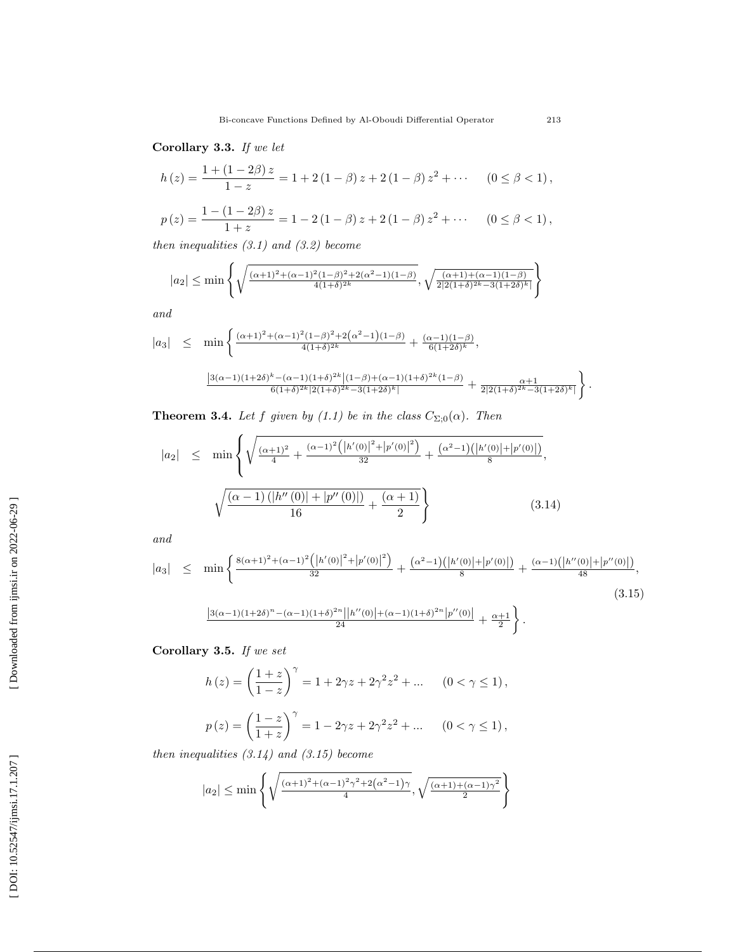Corollary 3.3. If we let

$$
h(z) = \frac{1 + (1 - 2\beta) z}{1 - z} = 1 + 2(1 - \beta) z + 2(1 - \beta) z^{2} + \cdots \quad (0 \le \beta < 1),
$$

$$
p(z) = \frac{1 - (1 - 2\beta) z}{1 + z} = 1 - 2(1 - \beta)z + 2(1 - \beta)z^{2} + \cdots \quad (0 \le \beta < 1),
$$

then inequalities  $(3.1)$  and  $(3.2)$  become

$$
|a_2| \le \min\left\{\sqrt{\frac{(\alpha+1)^2 + (\alpha-1)^2(1-\beta)^2 + 2(\alpha^2-1)(1-\beta)}{4(1+\delta)^{2k}}}, \sqrt{\frac{(\alpha+1) + (\alpha-1)(1-\beta)}{2|2(1+\delta)^{2k} - 3(1+2\delta)^k|}}\right\}
$$

and

$$
|a_3| \leq \min \left\{ \frac{(\alpha+1)^2 + (\alpha-1)^2 (1-\beta)^2 + 2(\alpha^2-1)(1-\beta)}{4(1+\delta)^{2k}} + \frac{(\alpha-1)(1-\beta)}{6(1+2\delta)^k}, \frac{(\alpha-1)(1+\beta)^{2k} + (\alpha-1)(1+\beta)^{2k}}{8(1+\delta)^{2k} |2(1+\delta)^{2k} - 3(1+\beta\delta)^k|} + \frac{\alpha+1}{2|2(1+\delta)^{2k} - 3(1+2\delta)^k|} \right\}.
$$

**Theorem 3.4.** Let f given by (1.1) be in the class  $C_{\Sigma,0}(\alpha)$ . Then

$$
|a_2| \leq \min \left\{ \sqrt{\frac{(\alpha+1)^2}{4} + \frac{(\alpha-1)^2 \left( |h'(0)|^2 + |p'(0)|^2 \right)}{32} + \frac{(\alpha^2-1) \left( |h'(0)| + |p'(0)| \right)}{8}}, \sqrt{\frac{(\alpha-1) \left( |h''(0)| + |p''(0)| \right)}{16} + \frac{(\alpha+1)}{2}} \right\}
$$
(3.14)

and

$$
|a_3| \leq \min \left\{ \frac{8(\alpha+1)^2 + (\alpha-1)^2 \left( \left| h'(0) \right|^2 + \left| p'(0) \right|^2 \right)}{32} + \frac{(\alpha^2-1) \left( \left| h'(0) \right| + \left| p'(0) \right| \right)}{8} + \frac{(\alpha-1) \left( \left| h''(0) \right| + \left| p''(0) \right| \right)}{48}, \frac{(\alpha-1) \left( 1 + 2\delta \right)^n - (\alpha-1) \left( 1 + \delta \right)^{2n} \left| h''(0) \right| + (\alpha-1) \left( 1 + \delta \right)^{2n} \left| p''(0) \right|}{24} + \frac{\alpha+1}{2} \right\}.
$$
\n(3.15)

Corollary 3.5. If we set

$$
h(z) = \left(\frac{1+z}{1-z}\right)^{\gamma} = 1 + 2\gamma z + 2\gamma^{2} z^{2} + \dots \quad (0 < \gamma \le 1),
$$
  

$$
p(z) = \left(\frac{1-z}{1+z}\right)^{\gamma} = 1 - 2\gamma z + 2\gamma^{2} z^{2} + \dots \quad (0 < \gamma \le 1),
$$

then inequalities  $(3.14)$  and  $(3.15)$  become

$$
|a_2| \le \min\left\{\sqrt{\frac{(\alpha+1)^2+(\alpha-1)^2\gamma^2+2(\alpha^2-1)\gamma}{4}}, \sqrt{\frac{(\alpha+1+(\alpha-1)\gamma^2}{2}}\right\}
$$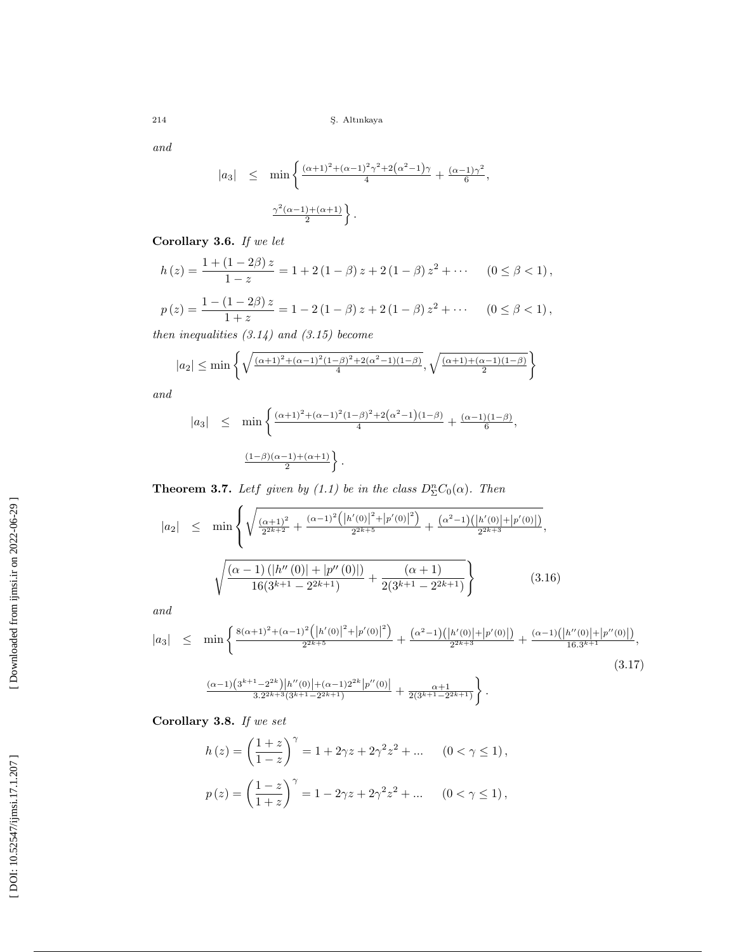and

$$
|a_3| \leq \min \left\{ \frac{(\alpha+1)^2 + (\alpha-1)^2 \gamma^2 + 2(\alpha^2 - 1)\gamma}{4} + \frac{(\alpha-1)\gamma^2}{6}, \frac{\gamma^2(\alpha-1) + (\alpha+1)}{2} \right\}.
$$

Corollary 3.6. If we let

$$
h(z) = \frac{1 + (1 - 2\beta) z}{1 - z} = 1 + 2(1 - \beta) z + 2(1 - \beta) z^{2} + \cdots \quad (0 \le \beta < 1),
$$

$$
p(z) = \frac{1 - (1 - 2\beta) z}{1 + z} = 1 - 2(1 - \beta)z + 2(1 - \beta)z^{2} + \cdots \quad (0 \le \beta < 1),
$$

then inequalities  $(3.14)$  and  $(3.15)$  become

$$
|a_2| \le \min \left\{ \sqrt{\frac{(\alpha+1)^2 + (\alpha-1)^2 (1-\beta)^2 + 2(\alpha^2-1)(1-\beta)}{4}}, \sqrt{\frac{(\alpha+1) + (\alpha-1)(1-\beta)}{2}} \right\}
$$

and

$$
|a_3| \leq \min \left\{ \frac{(\alpha+1)^2 + (\alpha-1)^2 (1-\beta)^2 + 2(\alpha^2-1)(1-\beta)}{4} + \frac{(\alpha-1)(1-\beta)}{6}, \frac{(1-\beta)(\alpha-1)+(\alpha+1)}{2} \right\}.
$$

**Theorem 3.7.** Let given by (1.1) be in the class  $D_{\Sigma}^{n}C_{0}(\alpha)$ . Then

$$
|a_2| \leq \min \left\{ \sqrt{\frac{(\alpha+1)^2}{2^{2k+2}} + \frac{(\alpha-1)^2 \left( |h'(0)|^2 + |p'(0)|^2 \right)}{2^{2k+5}} + \frac{(\alpha^2-1) \left( |h'(0)| + |p'(0)| \right)}{2^{2k+3}}}, \sqrt{\frac{(\alpha-1) \left( |h''(0)| + |p''(0)| \right)}{16(3^{k+1} - 2^{2k+1})} + \frac{(\alpha+1)}{2(3^{k+1} - 2^{2k+1})}} \right\}
$$
(3.16)

and

$$
|a_3| \leq \min \left\{ \frac{8(\alpha+1)^2 + (\alpha-1)^2 \left( \left| h'(0) \right|^2 + \left| p'(0) \right|^2 \right)}{2^{2k+5}} + \frac{(\alpha^2-1) \left( \left| h'(0) \right| + \left| p'(0) \right| \right)}{2^{2k+3}} + \frac{(\alpha-1) \left( \left| h''(0) \right| + \left| p''(0) \right| \right)}{16.3^{k+1}}, \right\}
$$
\n(3.17)

$$
\tfrac{(\alpha-1)\left(3^{k+1}-2^{2k}\right)\left|h''(0)\right|+(\alpha-1)2^{2k}\left|p''(0)\right|}{3.2^{2k+3}(3^{k+1}-2^{2k+1})}+\tfrac{\alpha+1}{2(3^{k+1}-2^{2k+1})}\bigg\}\,.
$$

Corollary 3.8. If we set

$$
h(z) = \left(\frac{1+z}{1-z}\right)^{\gamma} = 1 + 2\gamma z + 2\gamma^{2} z^{2} + \dots \quad (0 < \gamma \le 1),
$$
  

$$
p(z) = \left(\frac{1-z}{1+z}\right)^{\gamma} = 1 - 2\gamma z + 2\gamma^{2} z^{2} + \dots \quad (0 < \gamma \le 1),
$$

[Downloaded from ijmsi.ir on 2022-06-29]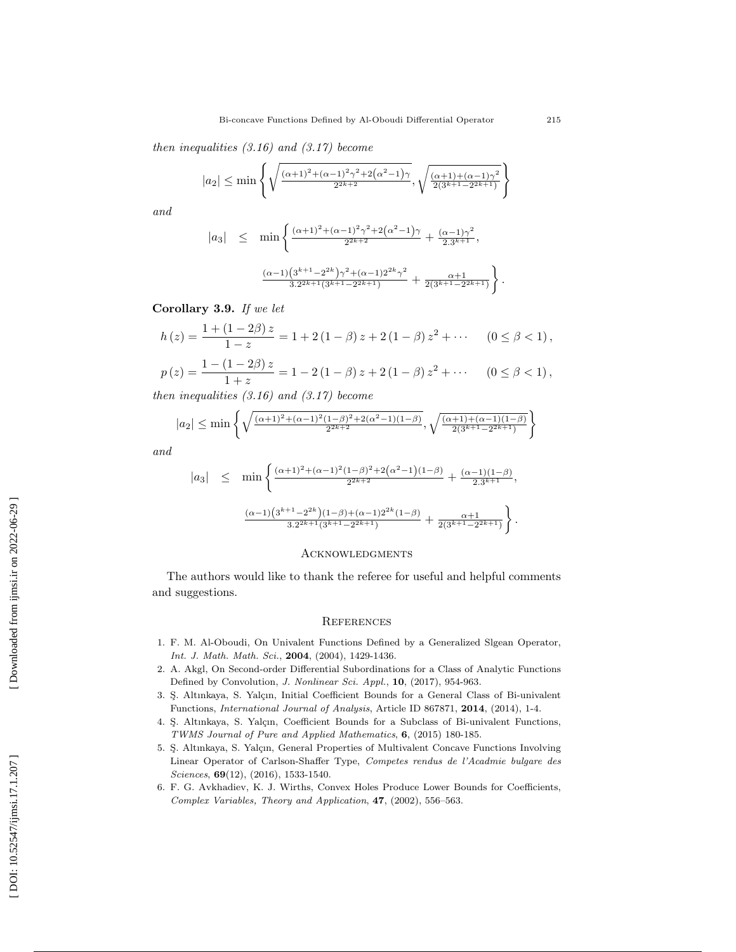then inequalities  $(3.16)$  and  $(3.17)$  become

$$
|a_2| \le \min\left\{\sqrt{\frac{(\alpha+1)^2+(\alpha-1)^2\gamma^2+2\left(\alpha^2-1\right)\gamma}{2^{2k+2}}},\sqrt{\frac{(\alpha+1)+(\alpha-1)\gamma^2}{2(3^{k+1}-2^{2k+1})}}\right\}
$$

and

$$
|a_3| \leq \min \left\{ \frac{(\alpha+1)^2 + (\alpha-1)^2 \gamma^2 + 2(\alpha^2 - 1)\gamma}{2^{2k+2}} + \frac{(\alpha-1)\gamma^2}{2 \cdot 3^{k+1}}, \frac{(\alpha-1)(3^{k+1} - 2^{2k}) \gamma^2 + (\alpha-1)2^{2k} \gamma^2}{3 \cdot 2^{2k+1} (3^{k+1} - 2^{2k+1})} + \frac{\alpha+1}{2(3^{k+1} - 2^{2k+1})} \right\}
$$

Corollary 3.9. If we let

$$
h(z) = \frac{1 + (1 - 2\beta) z}{1 - z} = 1 + 2(1 - \beta) z + 2(1 - \beta) z^2 + \cdots \quad (0 \le \beta < 1),
$$
\n
$$
p(z) = \frac{1 - (1 - 2\beta) z}{1 + z} = 1 - 2(1 - \beta) z + 2(1 - \beta) z^2 + \cdots \quad (0 \le \beta < 1),
$$

then inequalities  $(3.16)$  and  $(3.17)$  become

$$
|a_2| \le \min\left\{\sqrt{\frac{(\alpha+1)^2 + (\alpha-1)^2(1-\beta)^2 + 2(\alpha^2-1)(1-\beta)}{2^{2k+2}}}, \sqrt{\frac{(\alpha+1)^2 + (\alpha-1)(1-\beta)^2}{2(3^{k+1}-2^{2k+1})}}\right\}
$$

and

$$
|a_3| \leq \min \left\{ \frac{(\alpha+1)^2 + (\alpha-1)^2 (1-\beta)^2 + 2(\alpha^2-1)(1-\beta)}{2^{2k+2}} + \frac{(\alpha-1)(1-\beta)}{2 \cdot 3^{k+1}}, \frac{(\alpha-1)(3^{k+1}-2^{2k})(1-\beta) + (\alpha-1)2^{2k}(1-\beta)}{3 \cdot 2^{2k+1}(3^{k+1}-2^{2k+1})} + \frac{\alpha+1}{2(3^{k+1}-2^{2k+1})} \right\}.
$$

#### **ACKNOWLEDGMENTS**

The authors would like to thank the referee for useful and helpful comments and suggestions.

#### **REFERENCES**

- 1. F. M. Al-Oboudi, On Univalent Functions Defined by a Generalized Slgean Operator, Int. J. Math. Math. Sci., 2004, (2004), 1429-1436.
- 2. A. Akgl, On Second-order Differential Subordinations for a Class of Analytic Functions Defined by Convolution, *J. Nonlinear Sci. Appl.*, **10**, (2017), 954-963.
- 3. Ş. Altınkaya, S. Yalçın, Initial Coefficient Bounds for a General Class of Bi-univalent Functions, International Journal of Analysis, Article ID 867871, 2014, (2014), 1-4.
- 4. S. Altınkaya, S. Yalçın, Coefficient Bounds for a Subclass of Bi-univalent Functions, TWMS Journal of Pure and Applied Mathematics , 6, (2015) 180-185.
- 5. S. Altınkaya, S. Yalçın, General Properties of Multivalent Concave Functions Involving Linear Operator of Carlson-Shaffer Type, Competes rendus de l'Acadmie bulgare des Sciences, **69**(12), (2016), 1533-1540.
- 6. F. G. Avkhadiev, K. J. Wirths, Convex Holes Produce Lower Bounds for Coefficients, Complex Variables, Theory and Application , 47, (2002), 556–563.

.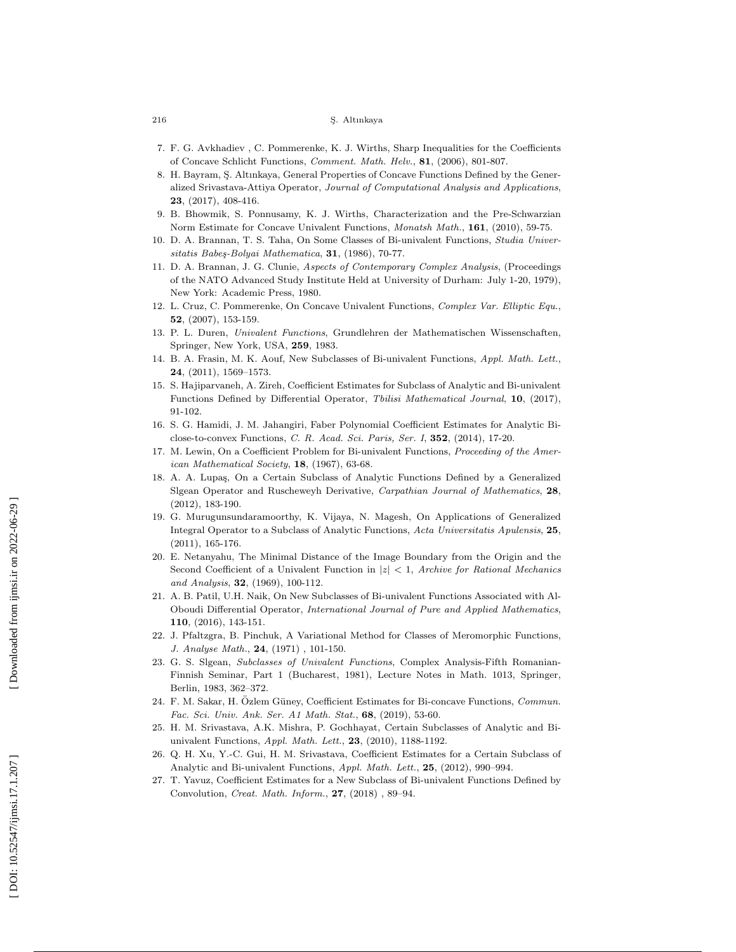- 7. F. G. Avkhadiev , C. Pommerenke, K. J. Wirths, Sharp Inequalities for the Coefficients of Concave Schlicht Functions, Comment. Math. Helv., 81, (2006), 801-807.
- 8. H. Bayram, S. Altınkaya, General Properties of Concave Functions Defined by the Generalized Srivastava-Attiya Operator, Journal of Computational Analysis and Applications, 23, (2017), 408-416.
- 9. B. Bhowmik, S. Ponnusamy, K. J. Wirths, Characterization and the Pre-Schwarzian Norm Estimate for Concave Univalent Functions, *Monatsh Math.*, **161**, (2010), 59-75.
- 10. D. A. Brannan, T. S. Taha, On Some Classes of Bi-univalent Functions, Studia Universitatis Babeş-Bolyai Mathematica, 31, (1986), 70-77.
- 11. D. A. Brannan, J. G. Clunie, Aspects of Contemporary Complex Analysis, (Proceedings of the NATO Advanced Study Institute Held at University of Durham: July 1-20, 1979), New York: Academic Press, 1980.
- 12. L. Cruz, C. Pommerenke, On Concave Univalent Functions, Complex Var. Elliptic Equ., 52, (2007), 153-159.
- 13. P. L. Duren, Univalent Functions, Grundlehren der Mathematischen Wissenschaften, Springer, New York, USA, 259, 1983.
- 14. B. A. Frasin, M. K. Aouf, New Subclasses of Bi-univalent Functions, Appl. Math. Lett., 24, (2011), 1569–1573.
- 15. S. Hajiparvaneh, A. Zireh, Coefficient Estimates for Subclass of Analytic and Bi-univalent Functions Defined by Differential Operator, Tbilisi Mathematical Journal, 10, (2017), 91-102.
- 16. S. G. Hamidi, J. M. Jahangiri, Faber Polynomial Coefficient Estimates for Analytic Biclose-to-convex Functions, C. R. Acad. Sci. Paris, Ser. I, 352, (2014), 17-20.
- 17. M. Lewin, On a Coefficient Problem for Bi-univalent Functions, Proceeding of the American Mathematical Society, 18, (1967), 63-68.
- 18. A. A. Lupaş, On a Certain Subclass of Analytic Functions Defined by a Generalized Slgean Operator and Ruscheweyh Derivative, Carpathian Journal of Mathematics, 28, (2012), 183-190.
- 19. G. Murugunsundaramoorthy, K. Vijaya, N. Magesh, On Applications of Generalized Integral Operator to a Subclass of Analytic Functions, Acta Universitatis Apulensis, 25, (2011), 165-176.
- 20. E. Netanyahu, The Minimal Distance of the Image Boundary from the Origin and the Second Coefficient of a Univalent Function in  $|z| < 1$ , Archive for Rational Mechanics and Analysis, **32**, (1969), 100-112.
- 21. A. B. Patil, U.H. Naik, On New Subclasses of Bi-univalent Functions Associated with Al-Oboudi Differential Operator, International Journal of Pure and Applied Mathematics, 110, (2016), 143-151.
- 22. J. Pfaltzgra, B. Pinchuk, A Variational Method for Classes of Meromorphic Functions, J. Analyse Math., 24, (1971), 101-150.
- 23. G. S. Slgean, Subclasses of Univalent Functions, Complex Analysis-Fifth Romanian-Finnish Seminar, Part 1 (Bucharest, 1981), Lecture Notes in Math. 1013, Springer, Berlin, 1983, 362–372.
- 24. F. M. Sakar, H. Özlem Güney, Coefficient Estimates for Bi-concave Functions, Commun. Fac. Sci. Univ. Ank. Ser. A1 Math. Stat. , 68, (2019), 53-60.
- 25. H. M. Srivastava, A.K. Mishra, P. Gochhayat, Certain Subclasses of Analytic and Biunivalent Functions, Appl. Math. Lett., 23, (2010), 1188-1192.
- 26. Q. H. Xu, Y.-C. Gui, H. M. Srivastava, Coefficient Estimates for a Certain Subclass of Analytic and Bi-univalent Functions, Appl. Math. Lett., 25, (2012), 990-994.
- 27. T. Yavuz, Coefficient Estimates for a New Subclass of Bi-univalent Functions Defined by Convolution, *Creat. Math. Inform.*, **27**, (2018), 89-94.